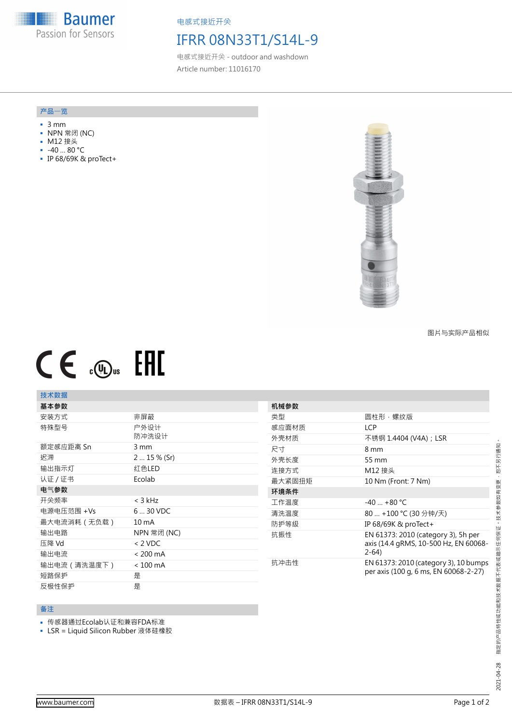**Baumer** Passion for Sensors

电感式接近开关

## IFRR 08N33T1/S14L-9

电感式接近开关 - outdoor and washdown Article number: 11016170

#### **产品**一**览**

- 3 mm
- NPN 常闭 (NC)
- M12 接头
- -40 … 80 °C
- IP 68/69K & proTect+



图片与实际产品相似

# $CE$   $\mathcal{L}$   $SE$

## **技术数据**

| 基本参数         |                    | 机械参数   |                                                                                        |
|--------------|--------------------|--------|----------------------------------------------------------------------------------------|
| 安装方式         | 非屏蔽                | 类型     | 圆柱形‧螺纹版                                                                                |
| 特殊型号         | 户外设计<br>防冲洗设计      | 感应面材质  | <b>LCP</b>                                                                             |
|              |                    | 外壳材质   | 不锈钢 1.4404 (V4A) ; LSR                                                                 |
| 额定感应距离 Sn    | 3 mm               | 尺寸     | 8 mm                                                                                   |
| 迟滞           | $215%$ (Sr)        | 外壳长度   | 55 mm                                                                                  |
| 输出指示灯        | 红色LED              | 连接方式   | M12 接头                                                                                 |
| 认证 / 证书      | Ecolab             | 最大紧固扭矩 | 10 Nm (Front: 7 Nm)                                                                    |
| 电气参数         |                    | 环境条件   |                                                                                        |
| 开关频率         | $<$ 3 kHz          | 工作温度   | $-40$ +80 °C                                                                           |
| 电源电压范围 +Vs   | 6  30 VDC          | 清洗温度   | 80  +100 ℃ (30 分钟/天)                                                                   |
| 最大电流消耗 (无负载) | 10 <sub>m</sub> A  | 防护等级   | IP 68/69K & proTect+                                                                   |
| 输出电路         | NPN 常闭 (NC)        | 抗振性    | EN 61373: 2010 (category 3), 5h per<br>axis (14.4 gRMS, 10-500 Hz, EN 60068-<br>$2-64$ |
| 压降 Vd        | $< 2$ VDC          |        |                                                                                        |
| 输出电流         | $< 200 \text{ mA}$ |        |                                                                                        |
| 输出电流 (清洗温度下) | $< 100$ mA         | 抗冲击性   | EN 61373: 2010 (category 3), 10 bumps<br>per axis (100 g, 6 ms, EN 60068-2-27)         |
| 短路保护         | 是                  |        |                                                                                        |
| 反极性保护        | 是                  |        |                                                                                        |

### **备注**

- 传感器通过Ecolab认证和兼容FDA标准
- LSR = Liquid Silicon Rubber 液体硅橡胶